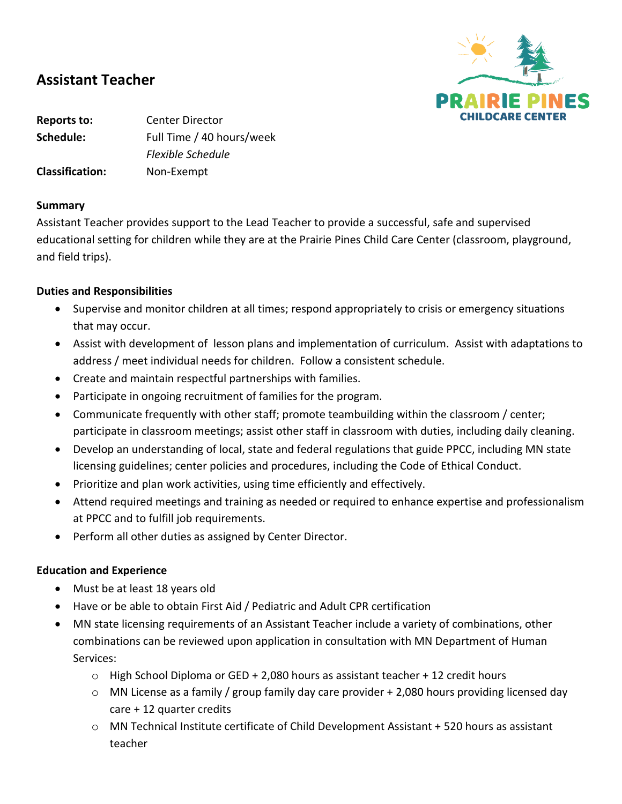

# **Assistant Teacher**

**Reports to:** Center Director **Schedule:** Full Time / 40 hours/week *Flexible Schedule* **Classification:** Non-Exempt

### **Summary**

Assistant Teacher provides support to the Lead Teacher to provide a successful, safe and supervised educational setting for children while they are at the Prairie Pines Child Care Center (classroom, playground, and field trips).

## **Duties and Responsibilities**

- Supervise and monitor children at all times; respond appropriately to crisis or emergency situations that may occur.
- Assist with development of lesson plans and implementation of curriculum. Assist with adaptations to address / meet individual needs for children. Follow a consistent schedule.
- Create and maintain respectful partnerships with families.
- Participate in ongoing recruitment of families for the program.
- Communicate frequently with other staff; promote teambuilding within the classroom / center; participate in classroom meetings; assist other staff in classroom with duties, including daily cleaning.
- Develop an understanding of local, state and federal regulations that guide PPCC, including MN state licensing guidelines; center policies and procedures, including the Code of Ethical Conduct.
- Prioritize and plan work activities, using time efficiently and effectively.
- Attend required meetings and training as needed or required to enhance expertise and professionalism at PPCC and to fulfill job requirements.
- Perform all other duties as assigned by Center Director.

## **Education and Experience**

- Must be at least 18 years old
- Have or be able to obtain First Aid / Pediatric and Adult CPR certification
- MN state licensing requirements of an Assistant Teacher include a variety of combinations, other combinations can be reviewed upon application in consultation with MN Department of Human Services:
	- $\circ$  High School Diploma or GED + 2,080 hours as assistant teacher + 12 credit hours
	- $\circ$  MN License as a family / group family day care provider + 2,080 hours providing licensed day care + 12 quarter credits
	- o MN Technical Institute certificate of Child Development Assistant + 520 hours as assistant teacher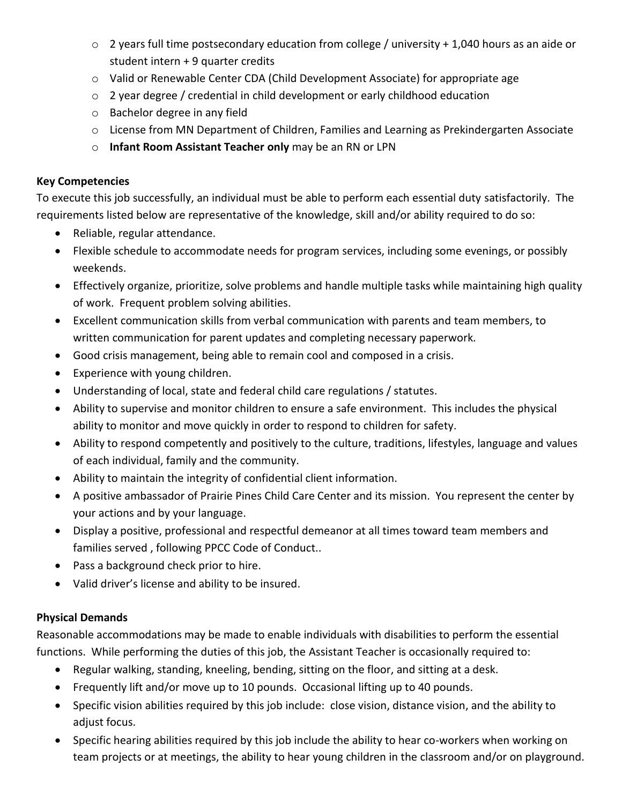- o 2 years full time postsecondary education from college / university + 1,040 hours as an aide or student intern + 9 quarter credits
- o Valid or Renewable Center CDA (Child Development Associate) for appropriate age
- $\circ$  2 year degree / credential in child development or early childhood education
- o Bachelor degree in any field
- $\circ$  License from MN Department of Children, Families and Learning as Prekindergarten Associate
- o **Infant Room Assistant Teacher only** may be an RN or LPN

## **Key Competencies**

To execute this job successfully, an individual must be able to perform each essential duty satisfactorily. The requirements listed below are representative of the knowledge, skill and/or ability required to do so:

- Reliable, regular attendance.
- Flexible schedule to accommodate needs for program services, including some evenings, or possibly weekends.
- Effectively organize, prioritize, solve problems and handle multiple tasks while maintaining high quality of work. Frequent problem solving abilities.
- Excellent communication skills from verbal communication with parents and team members, to written communication for parent updates and completing necessary paperwork.
- Good crisis management, being able to remain cool and composed in a crisis.
- Experience with young children.
- Understanding of local, state and federal child care regulations / statutes.
- Ability to supervise and monitor children to ensure a safe environment. This includes the physical ability to monitor and move quickly in order to respond to children for safety.
- Ability to respond competently and positively to the culture, traditions, lifestyles, language and values of each individual, family and the community.
- Ability to maintain the integrity of confidential client information.
- A positive ambassador of Prairie Pines Child Care Center and its mission. You represent the center by your actions and by your language.
- Display a positive, professional and respectful demeanor at all times toward team members and families served , following PPCC Code of Conduct..
- Pass a background check prior to hire.
- Valid driver's license and ability to be insured.

# **Physical Demands**

Reasonable accommodations may be made to enable individuals with disabilities to perform the essential functions. While performing the duties of this job, the Assistant Teacher is occasionally required to:

- Regular walking, standing, kneeling, bending, sitting on the floor, and sitting at a desk.
- Frequently lift and/or move up to 10 pounds. Occasional lifting up to 40 pounds.
- Specific vision abilities required by this job include: close vision, distance vision, and the ability to adjust focus.
- Specific hearing abilities required by this job include the ability to hear co-workers when working on team projects or at meetings, the ability to hear young children in the classroom and/or on playground.